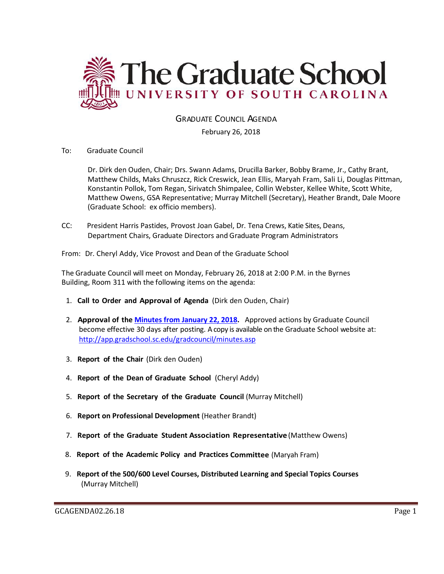

GRADUATE COUNCIL AGENDA

February 26, 2018

To: Graduate Council

Dr. Dirk den Ouden, Chair; Drs. Swann Adams, Drucilla Barker, Bobby Brame, Jr., Cathy Brant, Matthew Childs, Maks Chruszcz, Rick Creswick, Jean Ellis, Maryah Fram, Sali Li, Douglas Pittman, Konstantin Pollok, Tom Regan, Sirivatch Shimpalee, Collin Webster, Kellee White, Scott White, Matthew Owens, GSA Representative; Murray Mitchell (Secretary), Heather Brandt, Dale Moore (Graduate School: ex officio members).

CC: President Harris Pastides, Provost Joan Gabel, Dr. Tena Crews, Katie Sites, Deans, Department Chairs, Graduate Directors and Graduate Program Administrators

From: Dr. Cheryl Addy, Vice Provost and Dean of the Graduate School

The Graduate Council will meet on Monday, February 26, 2018 at 2:00 P.M. in the Byrnes Building, Room 311 with the following items on the agenda:

- 1. **Call to Order and Approval of Agenda** (Dirk den Ouden, Chair)
- 2. **Approval of the Minutes from January 22, 2018.** Approved actions by Graduate Council become effective 30 days after posting. A copy is available on the Graduate School website at: <http://app.gradschool.sc.edu/gradcouncil/minutes.asp>
- 3. **Report of the Chair** (Dirk den Ouden)
- 4. **Report of the Dean of Graduate School** (Cheryl Addy)
- 5. **Report of the Secretary of the Graduate Council** (Murray Mitchell)
- 6. **Report on Professional Development** (Heather Brandt)
- 7. **Report of the Graduate Student Association Representative** (Matthew Owens)
- 8. **Report of the Academic Policy and Practices Committee** (Maryah Fram)
- 9. **Report of the 500/600 Level Courses, Distributed Learning and Special Topics Courses** (Murray Mitchell)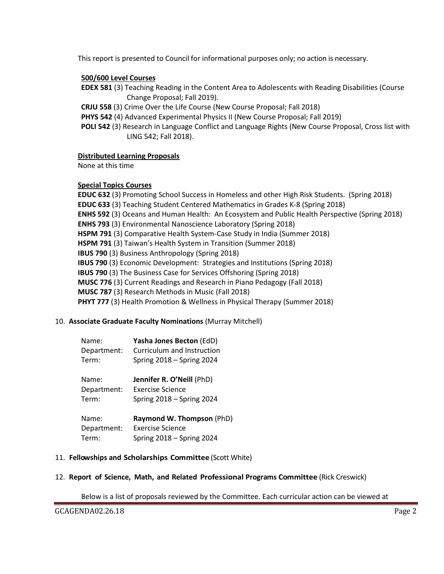This report is presented to Council for informational purposes only; no action is necessary.

### **500/600 Level Courses**

- **EDEX 581** (3) Teaching Reading in the Content Area to Adolescents with Reading Disabilities (Course Change Proposal; Fall 2019).
- **CRJU 558** (3) Crime Over the Life Course (New Course Proposal; Fall 2018)
- **PHYS 542** (4) Advanced Experimental Physics II (New Course Proposal; Fall 2019)
- **POLI 542** (3) Research in Language Conflict and Language Rights (New Course Proposal, Cross list with LING 542; Fall 2018).

#### **Distributed Learning Proposals**

None at this time

#### **Special Topics Courses**

**EDUC 632** (3) Promoting School Success in Homeless and other High Risk Students. (Spring 2018) **EDUC 633** (3) Teaching Student Centered Mathematics in Grades K-8 (Spring 2018) **ENHS 592** (3) Oceans and Human Health: An Ecosystem and Public Health Perspective (Spring 2018) **ENHS 793** (3) Environmental Nanoscience Laboratory (Spring 2018) **HSPM 791** (3) Comparative Health System-Case Study in India (Summer 2018) **HSPM 791** (3) Taiwan's Health System in Transition (Summer 2018) **IBUS 790** (3) Business Anthropology (Spring 2018) **IBUS 790** (3) Economic Development: Strategies and Institutions (Spring 2018) **IBUS 790** (3) The Business Case for Services Offshoring (Spring 2018) **MUSC 776** (3) Current Readings and Research in Piano Pedagogy (Fall 2018) **MUSC 787** (3) Research Methods in Music (Fall 2018) **PHYT 777** (3) Health Promotion & Wellness in Physical Therapy (Summer 2018)

#### 10. **Associate Graduate Faculty Nominations** (Murray Mitchell)

| Name:       | Yasha Jones Becton (EdD)    |
|-------------|-----------------------------|
| Department: | Curriculum and Instruction  |
| Term:       | Spring $2018 -$ Spring 2024 |
| Name:       | Jennifer R. O'Neill (PhD)   |
| Department: | <b>Exercise Science</b>     |
| Term:       | Spring $2018 -$ Spring 2024 |

| Name:       | Raymond W. Thompson (PhD)   |
|-------------|-----------------------------|
| Department: | Exercise Science            |
| Term:       | Spring $2018 -$ Spring 2024 |

#### 11. **Fellowships and Scholarships Committee** (Scott White)

#### 12. **Report of Science, Math, and Related Professional Programs Committee** (Rick Creswick)

Below is a list of proposals reviewed by the Committee. Each curricular action can be viewed at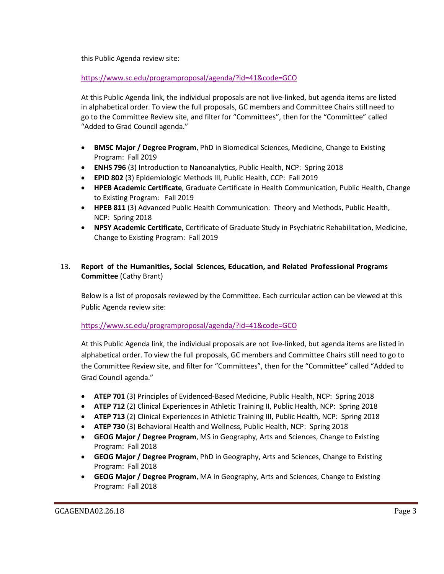this Public Agenda review site:

<https://www.sc.edu/programproposal/agenda/?id=41&code=GCO>

At this Public Agenda link, the individual proposals are not live-linked, but agenda items are listed in alphabetical order. To view the full proposals, GC members and Committee Chairs still need to go to the Committee Review site, and filter for "Committees", then for the "Committee" called "Added to Grad Council agenda."

- **BMSC Major / Degree Program**, PhD in Biomedical Sciences, Medicine, Change to Existing Program: Fall 2019
- **ENHS 796** (3) Introduction to Nanoanalytics, Public Health, NCP: Spring 2018
- **EPID 802** (3) Epidemiologic Methods III, Public Health, CCP: Fall 2019
- **HPEB Academic Certificate**, Graduate Certificate in Health Communication, Public Health, Change to Existing Program: Fall 2019
- **HPEB 811** (3) Advanced Public Health Communication: Theory and Methods, Public Health, NCP: Spring 2018
- **NPSY Academic Certificate**, Certificate of Graduate Study in Psychiatric Rehabilitation, Medicine, Change to Existing Program: Fall 2019

# 13. **Report of the Humanities, Social Sciences, Education, and Related Professional Programs Committee** (Cathy Brant)

Below is a list of proposals reviewed by the Committee. Each curricular action can be viewed at this Public Agenda review site:

## <https://www.sc.edu/programproposal/agenda/?id=41&code=GCO>

At this Public Agenda link, the individual proposals are not live-linked, but agenda items are listed in alphabetical order. To view the full proposals, GC members and Committee Chairs still need to go to the Committee Review site, and filter for "Committees", then for the "Committee" called "Added to Grad Council agenda."

- **ATEP 701** (3) Principles of Evidenced-Based Medicine, Public Health, NCP: Spring 2018
- **ATEP 712** (2) Clinical Experiences in Athletic Training II, Public Health, NCP: Spring 2018
- **ATEP 713** (2) Clinical Experiences in Athletic Training III, Public Health, NCP: Spring 2018
- **ATEP 730** (3) Behavioral Health and Wellness, Public Health, NCP: Spring 2018
- **GEOG Major / Degree Program**, MS in Geography, Arts and Sciences, Change to Existing Program: Fall 2018
- **GEOG Major / Degree Program**, PhD in Geography, Arts and Sciences, Change to Existing Program: Fall 2018
- **GEOG Major / Degree Program**, MA in Geography, Arts and Sciences, Change to Existing Program: Fall 2018